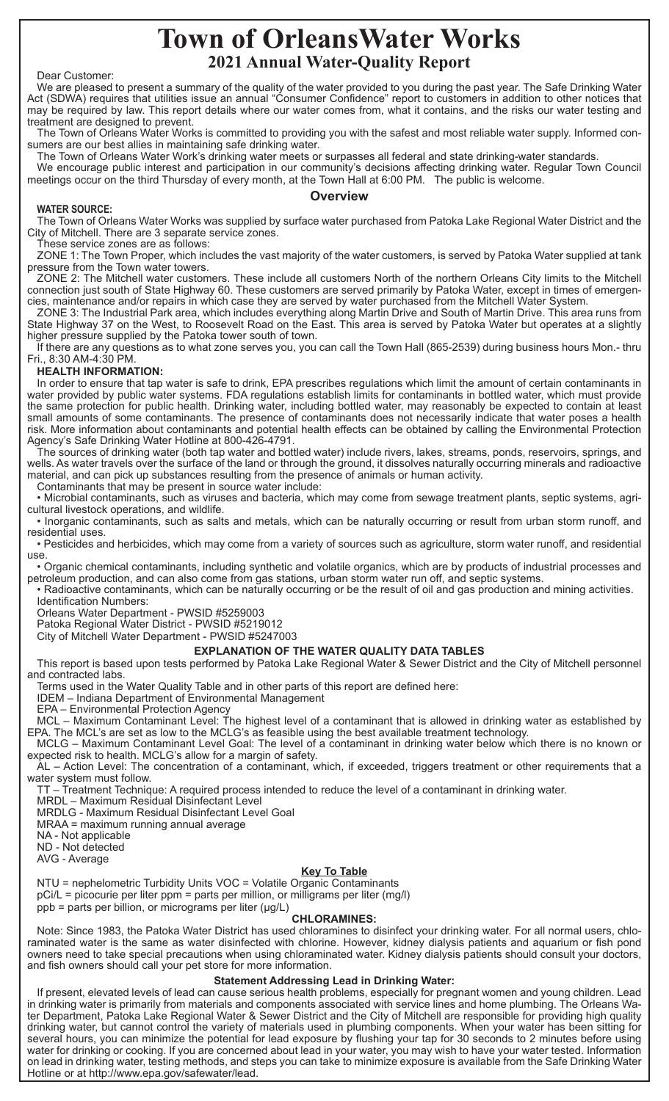# **Town of OrleansWater Works 2021 Annual Water-Quality Report**

#### Dear Customer:

We are pleased to present a summary of the quality of the water provided to you during the past year. The Safe Drinking Water Act (SDWA) requires that utilities issue an annual "Consumer Confidence" report to customers in addition to other notices that may be required by law. This report details where our water comes from, what it contains, and the risks our water testing and treatment are designed to prevent.

The Town of Orleans Water Works is committed to providing you with the safest and most reliable water supply. Informed consumers are our best allies in maintaining safe drinking water.

The Town of Orleans Water Work's drinking water meets or surpasses all federal and state drinking-water standards.

We encourage public interest and participation in our community's decisions affecting drinking water. Regular Town Council meetings occur on the third Thursday of every month, at the Town Hall at 6:00 PM. The public is welcome.

## **Overview**

#### **WATER SOURCE:**

The Town of Orleans Water Works was supplied by surface water purchased from Patoka Lake Regional Water District and the City of Mitchell. There are 3 separate service zones.

These service zones are as follows:

ZONE 1: The Town Proper, which includes the vast majority of the water customers, is served by Patoka Water supplied at tank pressure from the Town water towers.

ZONE 2: The Mitchell water customers. These include all customers North of the northern Orleans City limits to the Mitchell connection just south of State Highway 60. These customers are served primarily by Patoka Water, except in times of emergencies, maintenance and/or repairs in which case they are served by water purchased from the Mitchell Water System.

ZONE 3: The Industrial Park area, which includes everything along Martin Drive and South of Martin Drive. This area runs from State Highway 37 on the West, to Roosevelt Road on the East. This area is served by Patoka Water but operates at a slightly higher pressure supplied by the Patoka tower south of town.

If there are any questions as to what zone serves you, you can call the Town Hall (865-2539) during business hours Mon.- thru Fri., 8:30 AM-4:30 PM.

## **HEALTH INFORMATION:**

In order to ensure that tap water is safe to drink, EPA prescribes regulations which limit the amount of certain contaminants in water provided by public water systems. FDA regulations establish limits for contaminants in bottled water, which must provide the same protection for public health. Drinking water, including bottled water, may reasonably be expected to contain at least small amounts of some contaminants. The presence of contaminants does not necessarily indicate that water poses a health risk. More information about contaminants and potential health effects can be obtained by calling the Environmental Protection Agency's Safe Drinking Water Hotline at 800-426-4791.

The sources of drinking water (both tap water and bottled water) include rivers, lakes, streams, ponds, reservoirs, springs, and wells. As water travels over the surface of the land or through the ground, it dissolves naturally occurring minerals and radioactive material, and can pick up substances resulting from the presence of animals or human activity.

Contaminants that may be present in source water include:

• Microbial contaminants, such as viruses and bacteria, which may come from sewage treatment plants, septic systems, agricultural livestock operations, and wildlife.

• Inorganic contaminants, such as salts and metals, which can be naturally occurring or result from urban storm runoff, and residential uses.

• Pesticides and herbicides, which may come from a variety of sources such as agriculture, storm water runoff, and residential use.

• Organic chemical contaminants, including synthetic and volatile organics, which are by products of industrial processes and petroleum production, and can also come from gas stations, urban storm water run off, and septic systems.

• Radioactive contaminants, which can be naturally occurring or be the result of oil and gas production and mining activities. Identification Numbers:

Orleans Water Department - PWSID #5259003

Patoka Regional Water District - PWSID #5219012

City of Mitchell Water Department - PWSID #5247003

## **EXPLANATION OF THE WATER QUALITY DATA TABLES**

This report is based upon tests performed by Patoka Lake Regional Water & Sewer District and the City of Mitchell personnel and contracted labs.

Terms used in the Water Quality Table and in other parts of this report are defined here:

IDEM – Indiana Department of Environmental Management

EPA – Environmental Protection Agency

MCL – Maximum Contaminant Level: The highest level of a contaminant that is allowed in drinking water as established by EPA. The MCL's are set as low to the MCLG's as feasible using the best available treatment technology.

MCLG – Maximum Contaminant Level Goal: The level of a contaminant in drinking water below which there is no known or expected risk to health. MCLG's allow for a margin of safety.

AL – Action Level: The concentration of a contaminant, which, if exceeded, triggers treatment or other requirements that a water system must follow.

TT – Treatment Technique: A required process intended to reduce the level of a contaminant in drinking water.

MRDL – Maximum Residual Disinfectant Level

MRDLG - Maximum Residual Disinfectant Level Goal

MRAA = maximum running annual average

NA - Not applicable

ND - Not detected

AVG - Average

#### **Key To Table**

NTU = nephelometric Turbidity Units VOC = Volatile Organic Contaminants

pCi/L = picocurie per liter ppm = parts per million, or milligrams per liter (mg/l)

ppb = parts per billion, or micrograms per liter (μg/L)

#### **CHLORAMINES:**

Note: Since 1983, the Patoka Water District has used chloramines to disinfect your drinking water. For all normal users, chloraminated water is the same as water disinfected with chlorine. However, kidney dialysis patients and aquarium or fish pond owners need to take special precautions when using chloraminated water. Kidney dialysis patients should consult your doctors, and fish owners should call your pet store for more information.

### **Statement Addressing Lead in Drinking Water:**

If present, elevated levels of lead can cause serious health problems, especially for pregnant women and young children. Lead in drinking water is primarily from materials and components associated with service lines and home plumbing. The Orleans Water Department, Patoka Lake Regional Water & Sewer District and the City of Mitchell are responsible for providing high quality drinking water, but cannot control the variety of materials used in plumbing components. When your water has been sitting for several hours, you can minimize the potential for lead exposure by flushing your tap for 30 seconds to 2 minutes before using water for drinking or cooking. If you are concerned about lead in your water, you may wish to have your water tested. Information on lead in drinking water, testing methods, and steps you can take to minimize exposure is available from the Safe Drinking Water Hotline or at http://www.epa.gov/safewater/lead.